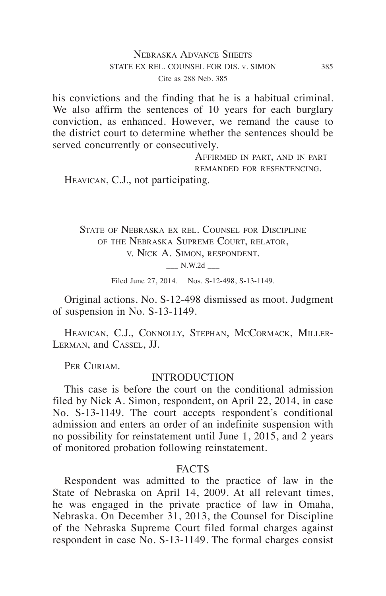his convictions and the finding that he is a habitual criminal. We also affirm the sentences of 10 years for each burglary conviction, as enhanced. However, we remand the cause to the district court to determine whether the sentences should be served concurrently or consecutively.

> Affirmed in part, and in part remanded for resentencing.

Heavican, C.J., not participating.

State of Nebraska ex rel. Counsel for Discipline of the Nebraska Supreme Court, relator, v. Nick A. Simon, respondent.

\_\_\_ N.W.2d \_\_\_

Filed June 27, 2014. Nos. S-12-498, S-13-1149.

Original actions. No. S-12-498 dismissed as moot. Judgment of suspension in No. S-13-1149.

HEAVICAN, C.J., CONNOLLY, STEPHAN, MCCORMACK, MILLER-Lerman, and Cassel, JJ.

PER CURIAM.

## INTRODUCTION

This case is before the court on the conditional admission filed by Nick A. Simon, respondent, on April 22, 2014, in case No. S-13-1149. The court accepts respondent's conditional admission and enters an order of an indefinite suspension with no possibility for reinstatement until June 1, 2015, and 2 years of monitored probation following reinstatement.

#### FACTS

Respondent was admitted to the practice of law in the State of Nebraska on April 14, 2009. At all relevant times, he was engaged in the private practice of law in Omaha, Nebraska. On December 31, 2013, the Counsel for Discipline of the Nebraska Supreme Court filed formal charges against respondent in case No. S-13-1149. The formal charges consist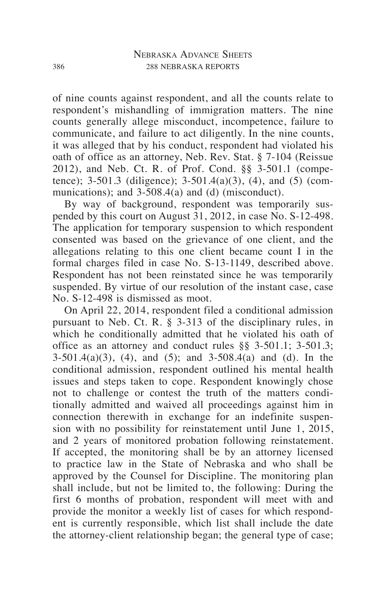of nine counts against respondent, and all the counts relate to respondent's mishandling of immigration matters. The nine counts generally allege misconduct, incompetence, failure to communicate, and failure to act diligently. In the nine counts, it was alleged that by his conduct, respondent had violated his oath of office as an attorney, Neb. Rev. Stat. § 7-104 (Reissue 2012), and Neb. Ct. R. of Prof. Cond. §§ 3-501.1 (competence); 3-501.3 (diligence); 3-501.4(a)(3), (4), and (5) (communications); and 3-508.4(a) and (d) (misconduct).

By way of background, respondent was temporarily suspended by this court on August 31, 2012, in case No. S-12-498. The application for temporary suspension to which respondent consented was based on the grievance of one client, and the allegations relating to this one client became count I in the formal charges filed in case No. S-13-1149, described above. Respondent has not been reinstated since he was temporarily suspended. By virtue of our resolution of the instant case, case No. S-12-498 is dismissed as moot.

On April 22, 2014, respondent filed a conditional admission pursuant to Neb. Ct. R. § 3-313 of the disciplinary rules, in which he conditionally admitted that he violated his oath of office as an attorney and conduct rules §§ 3-501.1; 3-501.3; 3-501.4(a)(3), (4), and (5); and 3-508.4(a) and (d). In the conditional admission, respondent outlined his mental health issues and steps taken to cope. Respondent knowingly chose not to challenge or contest the truth of the matters conditionally admitted and waived all proceedings against him in connection therewith in exchange for an indefinite suspension with no possibility for reinstatement until June 1, 2015, and 2 years of monitored probation following reinstatement. If accepted, the monitoring shall be by an attorney licensed to practice law in the State of Nebraska and who shall be approved by the Counsel for Discipline. The monitoring plan shall include, but not be limited to, the following: During the first 6 months of probation, respondent will meet with and provide the monitor a weekly list of cases for which respondent is currently responsible, which list shall include the date the attorney-client relationship began; the general type of case;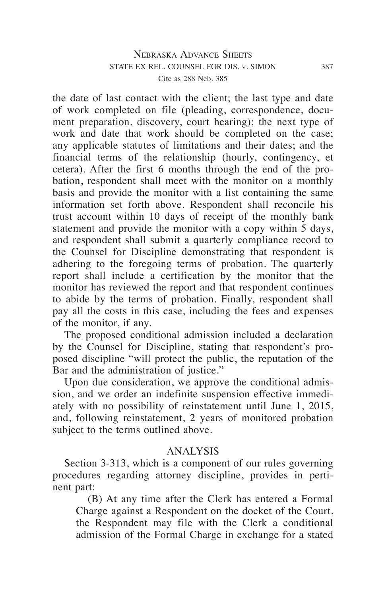the date of last contact with the client; the last type and date of work completed on file (pleading, correspondence, document preparation, discovery, court hearing); the next type of work and date that work should be completed on the case; any applicable statutes of limitations and their dates; and the financial terms of the relationship (hourly, contingency, et cetera). After the first 6 months through the end of the probation, respondent shall meet with the monitor on a monthly basis and provide the monitor with a list containing the same information set forth above. Respondent shall reconcile his trust account within 10 days of receipt of the monthly bank statement and provide the monitor with a copy within 5 days, and respondent shall submit a quarterly compliance record to the Counsel for Discipline demonstrating that respondent is adhering to the foregoing terms of probation. The quarterly report shall include a certification by the monitor that the monitor has reviewed the report and that respondent continues to abide by the terms of probation. Finally, respondent shall pay all the costs in this case, including the fees and expenses of the monitor, if any.

The proposed conditional admission included a declaration by the Counsel for Discipline, stating that respondent's proposed discipline "will protect the public, the reputation of the Bar and the administration of justice."

Upon due consideration, we approve the conditional admission, and we order an indefinite suspension effective immediately with no possibility of reinstatement until June 1, 2015, and, following reinstatement, 2 years of monitored probation subject to the terms outlined above.

# ANALYSIS

Section 3-313, which is a component of our rules governing procedures regarding attorney discipline, provides in pertinent part:

(B) At any time after the Clerk has entered a Formal Charge against a Respondent on the docket of the Court, the Respondent may file with the Clerk a conditional admission of the Formal Charge in exchange for a stated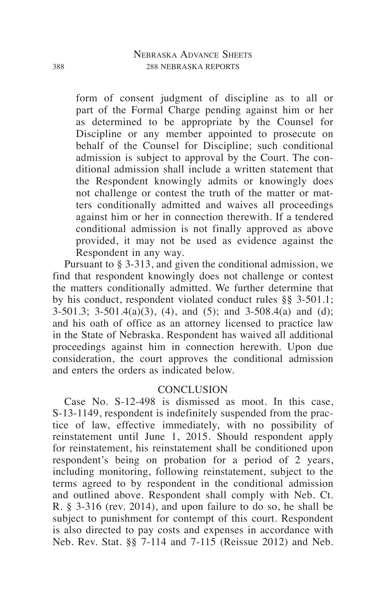form of consent judgment of discipline as to all or part of the Formal Charge pending against him or her as determined to be appropriate by the Counsel for Discipline or any member appointed to prosecute on behalf of the Counsel for Discipline; such conditional admission is subject to approval by the Court. The conditional admission shall include a written statement that the Respondent knowingly admits or knowingly does not challenge or contest the truth of the matter or matters conditionally admitted and waives all proceedings against him or her in connection therewith. If a tendered conditional admission is not finally approved as above provided, it may not be used as evidence against the Respondent in any way.

Pursuant to § 3-313, and given the conditional admission, we find that respondent knowingly does not challenge or contest the matters conditionally admitted. We further determine that by his conduct, respondent violated conduct rules §§ 3-501.1;  $3-501.3$ ;  $3-501.4(a)(3)$ ,  $(4)$ , and  $(5)$ ; and  $3-508.4(a)$  and  $(d)$ ; and his oath of office as an attorney licensed to practice law in the State of Nebraska. Respondent has waived all additional proceedings against him in connection herewith. Upon due consideration, the court approves the conditional admission and enters the orders as indicated below.

### **CONCLUSION**

Case No. S-12-498 is dismissed as moot. In this case, S-13-1149, respondent is indefinitely suspended from the practice of law, effective immediately, with no possibility of reinstatement until June 1, 2015. Should respondent apply for reinstatement, his reinstatement shall be conditioned upon respondent's being on probation for a period of 2 years, including monitoring, following reinstatement, subject to the terms agreed to by respondent in the conditional admission and outlined above. Respondent shall comply with Neb. Ct. R. § 3-316 (rev. 2014), and upon failure to do so, he shall be subject to punishment for contempt of this court. Respondent is also directed to pay costs and expenses in accordance with Neb. Rev. Stat. §§ 7-114 and 7-115 (Reissue 2012) and Neb.